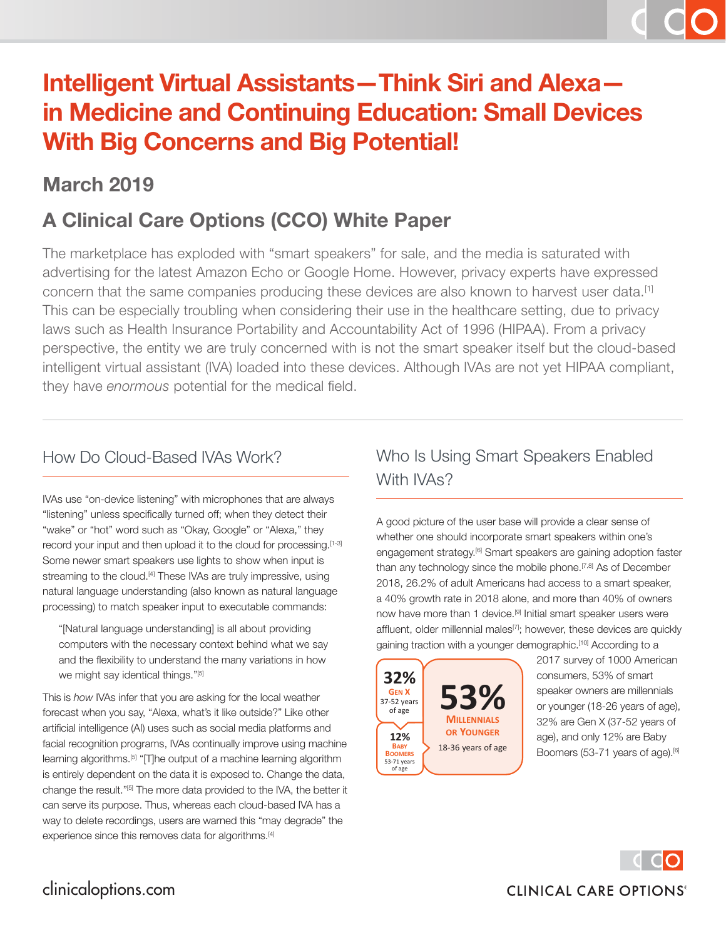# **Intelligent Virtual Assistants—Think Siri and Alexa in Medicine and Continuing Education: Small Devices With Big Concerns and Big Potential!**

### **March 2019**

## **A Clinical Care Options (CCO) White Paper**

The marketplace has exploded with "smart speakers" for sale, and the media is saturated with advertising for the latest Amazon Echo or Google Home. However, privacy experts have expressed concern that the same companies producing these devices are also known to harvest user data.[1] This can be especially troubling when considering their use in the healthcare setting, due to privacy laws such as Health Insurance Portability and Accountability Act of 1996 (HIPAA). From a privacy perspective, the entity we are truly concerned with is not the smart speaker itself but the cloud-based intelligent virtual assistant (IVA) loaded into these devices. Although IVAs are not yet HIPAA compliant, they have *enormous* potential for the medical field.

#### How Do Cloud-Based IVAs Work?

IVAs use "on-device listening" with microphones that are always "listening" unless specifically turned off; when they detect their "wake" or "hot" word such as "Okay, Google" or "Alexa," they record your input and then upload it to the cloud for processing.<sup>[1-3]</sup> Some newer smart speakers use lights to show when input is streaming to the cloud.<sup>[4]</sup> These IVAs are truly impressive, using natural language understanding (also known as natural language processing) to match speaker input to executable commands:

"[Natural language understanding] is all about providing computers with the necessary context behind what we say and the flexibility to understand the many variations in how we might say identical things."[5]

This is *how* IVAs infer that you are asking for the local weather forecast when you say, "Alexa, what's it like outside?" Like other artificial intelligence (AI) uses such as social media platforms and facial recognition programs, IVAs continually improve using machine learning algorithms.<sup>[5]</sup> "[T]he output of a machine learning algorithm is entirely dependent on the data it is exposed to. Change the data, change the result."[5] The more data provided to the IVA, the better it can serve its purpose. Thus, whereas each cloud-based IVA has a way to delete recordings, users are warned this "may degrade" the experience since this removes data for algorithms.<sup>[4]</sup>

#### Who Is Using Smart Speakers Enabled With IVA<sub>s</sub>?

A good picture of the user base will provide a clear sense of whether one should incorporate smart speakers within one's engagement strategy.<sup>[6]</sup> Smart speakers are gaining adoption faster than any technology since the mobile phone.<sup>[7,8]</sup> As of December 2018, 26.2% of adult Americans had access to a smart speaker, a 40% growth rate in 2018 alone, and more than 40% of owners now have more than 1 device.<sup>[9]</sup> Initial smart speaker users were affluent, older millennial males<sup>[7]</sup>; however, these devices are quickly gaining traction with a younger demographic.<sup>[10]</sup> According to a



2017 survey of 1000 American consumers, 53% of smart speaker owners are millennials or younger (18-26 years of age), 32% are Gen X (37-52 years of age), and only 12% are Baby Boomers (53-71 years of age).<sup>[6]</sup>

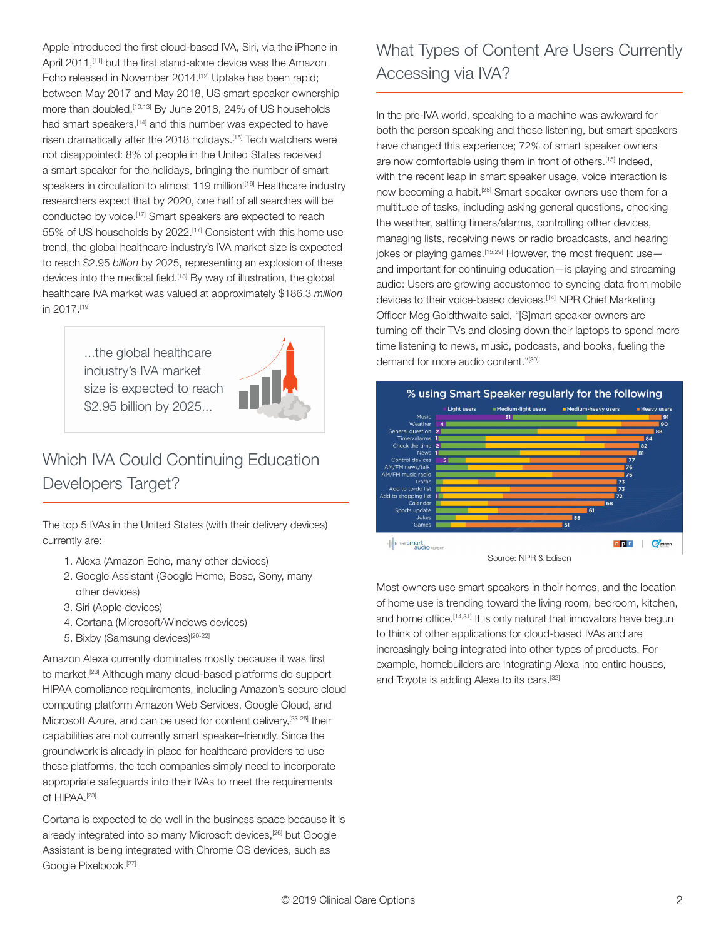Apple introduced the first cloud-based IVA, Siri, via the iPhone in April 2011.<sup>[11]</sup> but the first stand-alone device was the Amazon Echo released in November 2014.<sup>[12]</sup> Uptake has been rapid; between May 2017 and May 2018, US smart speaker ownership more than doubled.<sup>[10,13]</sup> By June 2018, 24% of US households had smart speakers, [14] and this number was expected to have risen dramatically after the 2018 holidays.[15] Tech watchers were not disappointed: 8% of people in the United States received a smart speaker for the holidays, bringing the number of smart speakers in circulation to almost 119 million!<sup>[16]</sup> Healthcare industry researchers expect that by 2020, one half of all searches will be conducted by voice.[17] Smart speakers are expected to reach 55% of US households by 2022.[17] Consistent with this home use trend, the global healthcare industry's IVA market size is expected to reach \$2.95 *billion* by 2025, representing an explosion of these devices into the medical field.[18] By way of illustration, the global healthcare IVA market was valued at approximately \$186.3 *million* in 2017.[19]

> ...the global healthcare industry's IVA market size is expected to reach \$2.95 billion by 2025...



### Which IVA Could Continuing Education Developers Target?

The top 5 IVAs in the United States (with their delivery devices) currently are:

- 1. Alexa (Amazon Echo, many other devices)
- 2. Google Assistant (Google Home, Bose, Sony, many other devices)
- 3. Siri (Apple devices)
- 4. Cortana (Microsoft/Windows devices)
- 5. Bixby (Samsung devices)<sup>[20-22]</sup>

Amazon Alexa currently dominates mostly because it was first to market.[23] Although many cloud-based platforms do support HIPAA compliance requirements, including Amazon's secure cloud computing platform Amazon Web Services, Google Cloud, and Microsoft Azure, and can be used for content delivery, [23-25] their capabilities are not currently smart speaker–friendly. Since the groundwork is already in place for healthcare providers to use these platforms, the tech companies simply need to incorporate appropriate safeguards into their IVAs to meet the requirements of HIPAA.[23]

Cortana is expected to do well in the business space because it is already integrated into so many Microsoft devices,[26] but Google Assistant is being integrated with Chrome OS devices, such as Google Pixelbook.[27]

## What Types of Content Are Users Currently Accessing via IVA?

In the pre-IVA world, speaking to a machine was awkward for both the person speaking and those listening, but smart speakers have changed this experience; 72% of smart speaker owners are now comfortable using them in front of others.[15] Indeed, with the recent leap in smart speaker usage, voice interaction is now becoming a habit.<sup>[28]</sup> Smart speaker owners use them for a multitude of tasks, including asking general questions, checking the weather, setting timers/alarms, controlling other devices, managing lists, receiving news or radio broadcasts, and hearing jokes or playing games.<sup>[15,29]</sup> However, the most frequent use and important for continuing education—is playing and streaming audio: Users are growing accustomed to syncing data from mobile devices to their voice-based devices.[14] NPR Chief Marketing Officer Meg Goldthwaite said, "[S]mart speaker owners are turning off their TVs and closing down their laptops to spend more time listening to news, music, podcasts, and books, fueling the demand for more audio content."[30]



Source: NPR & Edison

Most owners use smart speakers in their homes, and the location of home use is trending toward the living room, bedroom, kitchen, and home office.<sup>[14,31]</sup> It is only natural that innovators have begun to think of other applications for cloud-based IVAs and are increasingly being integrated into other types of products. For example, homebuilders are integrating Alexa into entire houses, and Toyota is adding Alexa to its cars.[32]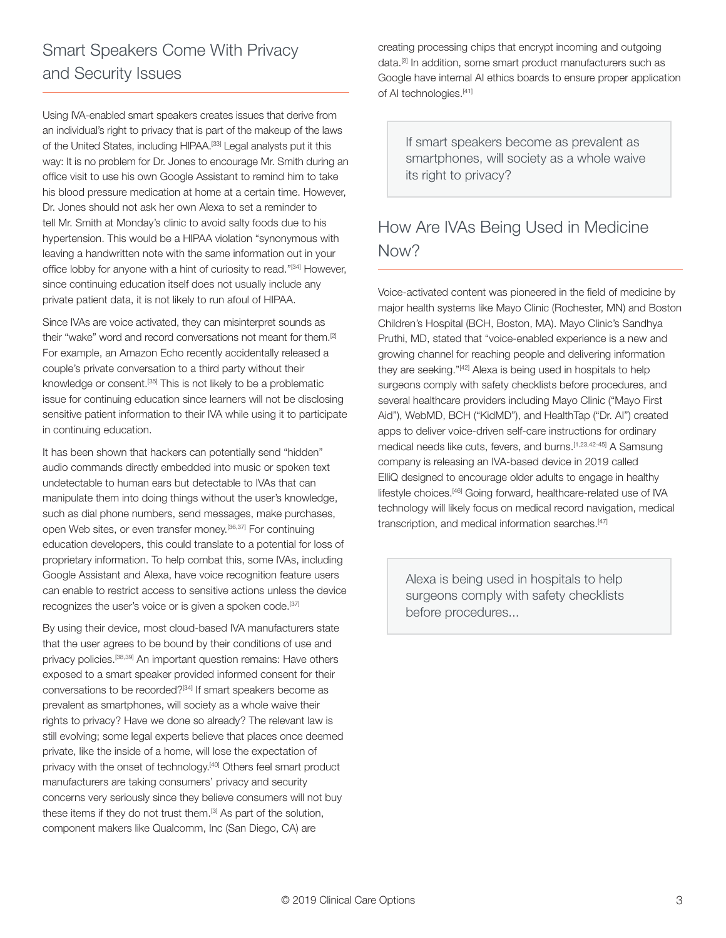Using IVA-enabled smart speakers creates issues that derive from an individual's right to privacy that is part of the makeup of the laws of the United States, including HIPAA.[33] Legal analysts put it this way: It is no problem for Dr. Jones to encourage Mr. Smith during an office visit to use his own Google Assistant to remind him to take his blood pressure medication at home at a certain time. However, Dr. Jones should not ask her own Alexa to set a reminder to tell Mr. Smith at Monday's clinic to avoid salty foods due to his hypertension. This would be a HIPAA violation "synonymous with leaving a handwritten note with the same information out in your office lobby for anyone with a hint of curiosity to read."[34] However, since continuing education itself does not usually include any private patient data, it is not likely to run afoul of HIPAA.

Since IVAs are voice activated, they can misinterpret sounds as their "wake" word and record conversations not meant for them.[2] For example, an Amazon Echo recently accidentally released a couple's private conversation to a third party without their knowledge or consent.[35] This is not likely to be a problematic issue for continuing education since learners will not be disclosing sensitive patient information to their IVA while using it to participate in continuing education.

It has been shown that hackers can potentially send "hidden" audio commands directly embedded into music or spoken text undetectable to human ears but detectable to IVAs that can manipulate them into doing things without the user's knowledge, such as dial phone numbers, send messages, make purchases, open Web sites, or even transfer money.[36,37] For continuing education developers, this could translate to a potential for loss of proprietary information. To help combat this, some IVAs, including Google Assistant and Alexa, have voice recognition feature users can enable to restrict access to sensitive actions unless the device recognizes the user's voice or is given a spoken code.<sup>[37]</sup>

By using their device, most cloud-based IVA manufacturers state that the user agrees to be bound by their conditions of use and privacy policies.[38,39] An important question remains: Have others exposed to a smart speaker provided informed consent for their conversations to be recorded?[34] If smart speakers become as prevalent as smartphones, will society as a whole waive their rights to privacy? Have we done so already? The relevant law is still evolving; some legal experts believe that places once deemed private, like the inside of a home, will lose the expectation of privacy with the onset of technology.<sup>[40]</sup> Others feel smart product manufacturers are taking consumers' privacy and security concerns very seriously since they believe consumers will not buy these items if they do not trust them.<sup>[3]</sup> As part of the solution, component makers like Qualcomm, Inc (San Diego, CA) are

creating processing chips that encrypt incoming and outgoing data.[3] In addition, some smart product manufacturers such as Google have internal AI ethics boards to ensure proper application of AI technologies.<sup>[41]</sup>

If smart speakers become as prevalent as smartphones, will society as a whole waive its right to privacy?

#### How Are IVAs Being Used in Medicine Now?

Voice-activated content was pioneered in the field of medicine by major health systems like Mayo Clinic (Rochester, MN) and Boston Children's Hospital (BCH, Boston, MA). Mayo Clinic's Sandhya Pruthi, MD, stated that "voice-enabled experience is a new and growing channel for reaching people and delivering information they are seeking."<sup>[42]</sup> Alexa is being used in hospitals to help surgeons comply with safety checklists before procedures, and several healthcare providers including Mayo Clinic ("Mayo First Aid"), WebMD, BCH ("KidMD"), and HealthTap ("Dr. AI") created apps to deliver voice-driven self-care instructions for ordinary medical needs like cuts, fevers, and burns.[1,23,42-45] A Samsung company is releasing an IVA-based device in 2019 called ElliQ designed to encourage older adults to engage in healthy lifestyle choices.[46] Going forward, healthcare-related use of IVA technology will likely focus on medical record navigation, medical transcription, and medical information searches.[47]

Alexa is being used in hospitals to help surgeons comply with safety checklists before procedures...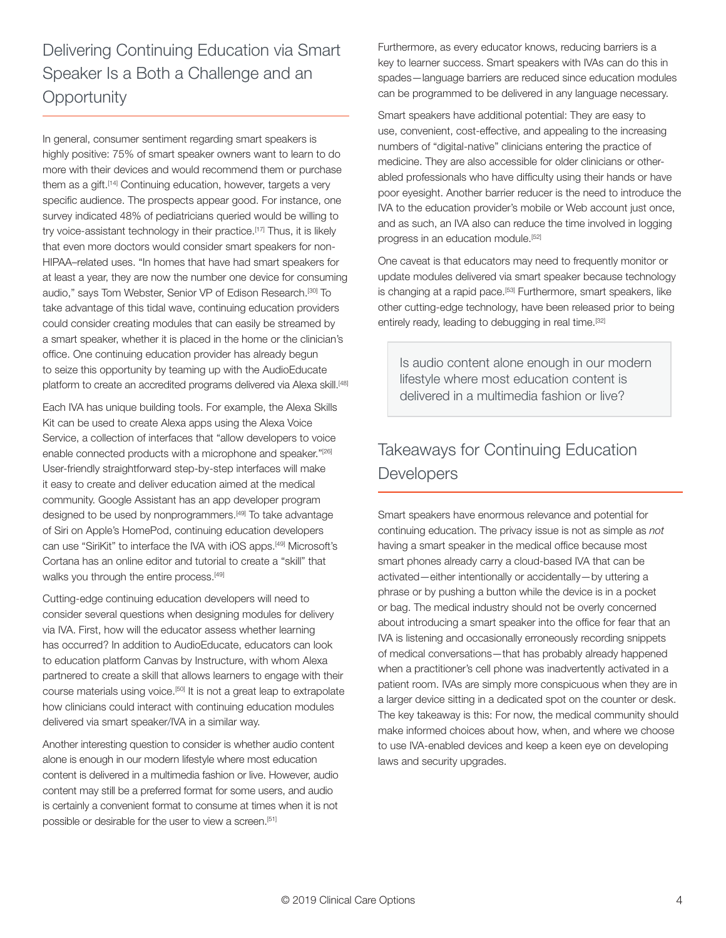Delivering Continuing Education via Smart Speaker Is a Both a Challenge and an **Opportunity** 

In general, consumer sentiment regarding smart speakers is highly positive: 75% of smart speaker owners want to learn to do more with their devices and would recommend them or purchase them as a gift.<sup>[14]</sup> Continuing education, however, targets a very specific audience. The prospects appear good. For instance, one survey indicated 48% of pediatricians queried would be willing to try voice-assistant technology in their practice.[17] Thus, it is likely that even more doctors would consider smart speakers for non-HIPAA–related uses. "In homes that have had smart speakers for at least a year, they are now the number one device for consuming audio," says Tom Webster, Senior VP of Edison Research.[30] To take advantage of this tidal wave, continuing education providers could consider creating modules that can easily be streamed by a smart speaker, whether it is placed in the home or the clinician's office. One continuing education provider has already begun to seize this opportunity by teaming up with the AudioEducate platform to create an accredited programs delivered via Alexa skill.<sup>[48]</sup>

Each IVA has unique building tools. For example, the Alexa Skills Kit can be used to create Alexa apps using the Alexa Voice Service, a collection of interfaces that "allow developers to voice enable connected products with a microphone and speaker."<sup>[26]</sup> User-friendly straightforward step-by-step interfaces will make it easy to create and deliver education aimed at the medical community. Google Assistant has an app developer program designed to be used by nonprogrammers.<sup>[49]</sup> To take advantage of Siri on Apple's HomePod, continuing education developers can use "SiriKit" to interface the IVA with iOS apps.[49] Microsoft's Cortana has an online editor and tutorial to create a "skill" that walks you through the entire process.<sup>[49]</sup>

Cutting-edge continuing education developers will need to consider several questions when designing modules for delivery via IVA. First, how will the educator assess whether learning has occurred? In addition to AudioEducate, educators can look to education platform Canvas by Instructure, with whom Alexa partnered to create a skill that allows learners to engage with their course materials using voice.[50] It is not a great leap to extrapolate how clinicians could interact with continuing education modules delivered via smart speaker/IVA in a similar way.

Another interesting question to consider is whether audio content alone is enough in our modern lifestyle where most education content is delivered in a multimedia fashion or live. However, audio content may still be a preferred format for some users, and audio is certainly a convenient format to consume at times when it is not possible or desirable for the user to view a screen.<sup>[51]</sup>

Furthermore, as every educator knows, reducing barriers is a key to learner success. Smart speakers with IVAs can do this in spades—language barriers are reduced since education modules can be programmed to be delivered in any language necessary.

Smart speakers have additional potential: They are easy to use, convenient, cost-effective, and appealing to the increasing numbers of "digital-native" clinicians entering the practice of medicine. They are also accessible for older clinicians or otherabled professionals who have difficulty using their hands or have poor eyesight. Another barrier reducer is the need to introduce the IVA to the education provider's mobile or Web account just once, and as such, an IVA also can reduce the time involved in logging progress in an education module.<sup>[52]</sup>

One caveat is that educators may need to frequently monitor or update modules delivered via smart speaker because technology is changing at a rapid pace.<sup>[53]</sup> Furthermore, smart speakers, like other cutting-edge technology, have been released prior to being entirely ready, leading to debugging in real time.<sup>[32]</sup>

Is audio content alone enough in our modern lifestyle where most education content is delivered in a multimedia fashion or live?

#### Takeaways for Continuing Education **Developers**

Smart speakers have enormous relevance and potential for continuing education. The privacy issue is not as simple as *not* having a smart speaker in the medical office because most smart phones already carry a cloud-based IVA that can be activated—either intentionally or accidentally—by uttering a phrase or by pushing a button while the device is in a pocket or bag. The medical industry should not be overly concerned about introducing a smart speaker into the office for fear that an IVA is listening and occasionally erroneously recording snippets of medical conversations—that has probably already happened when a practitioner's cell phone was inadvertently activated in a patient room. IVAs are simply more conspicuous when they are in a larger device sitting in a dedicated spot on the counter or desk. The key takeaway is this: For now, the medical community should make informed choices about how, when, and where we choose to use IVA-enabled devices and keep a keen eye on developing laws and security upgrades.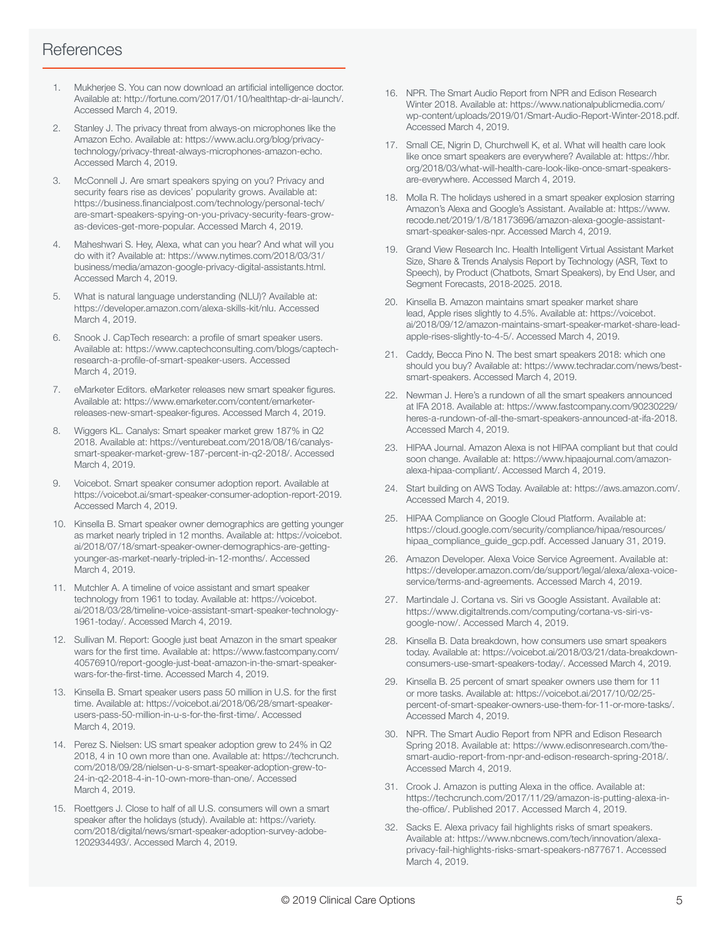#### **References**

- 1. Mukherjee S. You can now download an artificial intelligence doctor. Available at: http://fortune.com/2017/01/10/healthtap-dr-ai-launch/. Accessed March 4, 2019.
- 2. Stanley J. The privacy threat from always-on microphones like the Amazon Echo. Available at: https://www.aclu.org/blog/privacytechnology/privacy-threat-always-microphones-amazon-echo. Accessed March 4, 2019.
- 3. McConnell J. Are smart speakers spying on you? Privacy and security fears rise as devices' popularity grows. Available at: https://business.financialpost.com/technology/personal-tech/ are-smart-speakers-spying-on-you-privacy-security-fears-growas-devices-get-more-popular. Accessed March 4, 2019.
- 4. Maheshwari S. Hey, Alexa, what can you hear? And what will you do with it? Available at: https://www.nytimes.com/2018/03/31/ business/media/amazon-google-privacy-digital-assistants.html. Accessed March 4, 2019.
- 5. What is natural language understanding (NLU)? Available at: https://developer.amazon.com/alexa-skills-kit/nlu. Accessed March 4, 2019.
- 6. Snook J. CapTech research: a profile of smart speaker users. Available at: https://www.captechconsulting.com/blogs/captechresearch-a-profile-of-smart-speaker-users. Accessed March 4, 2019.
- 7. eMarketer Editors. eMarketer releases new smart speaker figures. Available at: https://www.emarketer.com/content/emarketerreleases-new-smart-speaker-figures. Accessed March 4, 2019.
- 8. Wiggers KL. Canalys: Smart speaker market grew 187% in Q2 2018. Available at: https://venturebeat.com/2018/08/16/canalyssmart-speaker-market-grew-187-percent-in-q2-2018/. Accessed March 4, 2019.
- 9. Voicebot. Smart speaker consumer adoption report. Available at https://voicebot.ai/smart-speaker-consumer-adoption-report-2019. Accessed March 4, 2019.
- 10. Kinsella B. Smart speaker owner demographics are getting younger as market nearly tripled in 12 months. Available at: https://voicebot. ai/2018/07/18/smart-speaker-owner-demographics-are-gettingyounger-as-market-nearly-tripled-in-12-months/. Accessed March 4, 2019.
- 11. Mutchler A. A timeline of voice assistant and smart speaker technology from 1961 to today. Available at: https://voicebot. ai/2018/03/28/timeline-voice-assistant-smart-speaker-technology-1961-today/. Accessed March 4, 2019.
- 12. Sullivan M. Report: Google just beat Amazon in the smart speaker wars for the first time. Available at: https://www.fastcompany.com/ 40576910/report-google-just-beat-amazon-in-the-smart-speakerwars-for-the-first-time. Accessed March 4, 2019.
- 13. Kinsella B. Smart speaker users pass 50 million in U.S. for the first time. Available at: https://voicebot.ai/2018/06/28/smart-speakerusers-pass-50-million-in-u-s-for-the-first-time/. Accessed March 4, 2019.
- 14. Perez S. Nielsen: US smart speaker adoption grew to 24% in Q2 2018, 4 in 10 own more than one. Available at: https://techcrunch. com/2018/09/28/nielsen-u-s-smart-speaker-adoption-grew-to-24-in-q2-2018-4-in-10-own-more-than-one/. Accessed March 4, 2019.
- 15. Roettgers J. Close to half of all U.S. consumers will own a smart speaker after the holidays (study). Available at: https://variety. com/2018/digital/news/smart-speaker-adoption-survey-adobe-1202934493/. Accessed March 4, 2019.
- 16. NPR. The Smart Audio Report from NPR and Edison Research Winter 2018. Available at: https://www.nationalpublicmedia.com/ wp-content/uploads/2019/01/Smart-Audio-Report-Winter-2018.pdf. Accessed March 4, 2019.
- 17. Small CE, Nigrin D, Churchwell K, et al. What will health care look like once smart speakers are everywhere? Available at: https://hbr. org/2018/03/what-will-health-care-look-like-once-smart-speakersare-everywhere. Accessed March 4, 2019.
- 18. Molla R. The holidays ushered in a smart speaker explosion starring Amazon's Alexa and Google's Assistant. Available at: https://www. recode.net/2019/1/8/18173696/amazon-alexa-google-assistantsmart-speaker-sales-npr. Accessed March 4, 2019.
- 19. Grand View Research Inc. Health Intelligent Virtual Assistant Market Size, Share & Trends Analysis Report by Technology (ASR, Text to Speech), by Product (Chatbots, Smart Speakers), by End User, and Segment Forecasts, 2018-2025. 2018.
- 20. Kinsella B. Amazon maintains smart speaker market share lead, Apple rises slightly to 4.5%. Available at: https://voicebot. ai/2018/09/12/amazon-maintains-smart-speaker-market-share-leadapple-rises-slightly-to-4-5/. Accessed March 4, 2019.
- 21. Caddy, Becca Pino N. The best smart speakers 2018: which one should you buy? Available at: https://www.techradar.com/news/bestsmart-speakers. Accessed March 4, 2019.
- 22. Newman J. Here's a rundown of all the smart speakers announced at IFA 2018. Available at: https://www.fastcompany.com/90230229/ heres-a-rundown-of-all-the-smart-speakers-announced-at-ifa-2018. Accessed March 4, 2019.
- 23. HIPAA Journal. Amazon Alexa is not HIPAA compliant but that could soon change. Available at: https://www.hipaajournal.com/amazonalexa-hipaa-compliant/. Accessed March 4, 2019.
- 24. Start building on AWS Today. Available at: https://aws.amazon.com/. Accessed March 4, 2019.
- 25. HIPAA Compliance on Google Cloud Platform. Available at: https://cloud.google.com/security/compliance/hipaa/resources/ hipaa\_compliance\_guide\_gcp.pdf. Accessed January 31, 2019.
- 26. Amazon Developer. Alexa Voice Service Agreement. Available at: https://developer.amazon.com/de/support/legal/alexa/alexa-voiceservice/terms-and-agreements. Accessed March 4, 2019.
- 27. Martindale J. Cortana vs. Siri vs Google Assistant. Available at: https://www.digitaltrends.com/computing/cortana-vs-siri-vsgoogle-now/. Accessed March 4, 2019.
- 28. Kinsella B. Data breakdown, how consumers use smart speakers today. Available at: https://voicebot.ai/2018/03/21/data-breakdownconsumers-use-smart-speakers-today/. Accessed March 4, 2019.
- 29. Kinsella B. 25 percent of smart speaker owners use them for 11 or more tasks. Available at: https://voicebot.ai/2017/10/02/25 percent-of-smart-speaker-owners-use-them-for-11-or-more-tasks/. Accessed March 4, 2019.
- 30. NPR. The Smart Audio Report from NPR and Edison Research Spring 2018. Available at: https://www.edisonresearch.com/thesmart-audio-report-from-npr-and-edison-research-spring-2018/. Accessed March 4, 2019.
- 31. Crook J. Amazon is putting Alexa in the office. Available at: https://techcrunch.com/2017/11/29/amazon-is-putting-alexa-inthe-office/. Published 2017. Accessed March 4, 2019.
- 32. Sacks E. Alexa privacy fail highlights risks of smart speakers. Available at: https://www.nbcnews.com/tech/innovation/alexaprivacy-fail-highlights-risks-smart-speakers-n877671. Accessed March 4, 2019.